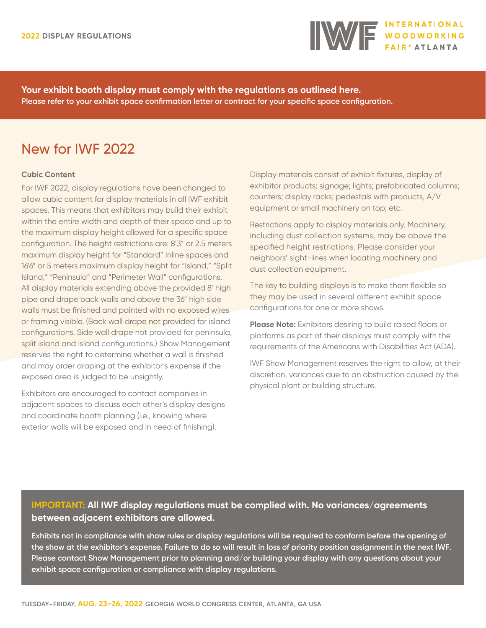

**Your exhibit booth display must comply with the regulations as outlined here. Please refer to your exhibit space confirmation letter or contract for your specific space configuration.**

# New for IWF 2022

# **Cubic Content**

For IWF 2022, display regulations have been changed to allow cubic content for display materials in all IWF exhibit spaces. This means that exhibitors may build their exhibit within the entire width and depth of their space and up to the maximum display height allowed for a specific space configuration. The height restrictions are: 8'3" or 2.5 meters maximum display height for "Standard" Inline spaces and 16'6" or 5 meters maximum display height for "Island," "Split Island," "Peninsula" and "Perimeter Wall" configurations. All display materials extending above the provided 8' high pipe and drape back walls and above the 36" high side walls must be finished and painted with no exposed wires or framing visible. (Back wall drape not provided for island configurations. Side wall drape not provided for peninsula, split island and island configurations.) Show Management reserves the right to determine whether a wall is finished and may order draping at the exhibitor's expense if the exposed area is judged to be unsightly.

Exhibitors are encouraged to contact companies in adjacent spaces to discuss each other's display designs and coordinate booth planning (i.e., knowing where exterior walls will be exposed and in need of finishing).

Display materials consist of exhibit fixtures, display of exhibitor products; signage; lights; prefabricated columns; counters; display racks; pedestals with products, A/V equipment or small machinery on top; etc.

Restrictions apply to display materials only. Machinery, including dust collection systems, may be above the specified height restrictions. Please consider your neighbors' sight-lines when locating machinery and dust collection equipment.

The key to building displays is to make them flexible so they may be used in several different exhibit space configurations for one or more shows.

**Please Note:** Exhibitors desiring to build raised floors or platforms as part of their displays must comply with the requirements of the Americans with Disabilities Act (ADA).

IWF Show Management reserves the right to allow, at their discretion, variances due to an obstruction caused by the physical plant or building structure.

# **IMPORTANT: All IWF display regulations must be complied with. No variances/agreements between adjacent exhibitors are allowed.**

**Exhibits not in compliance with show rules or display regulations will be required to conform before the opening of the show at the exhibitor's expense. Failure to do so will result in loss of priority position assignment in the next IWF. Please contact Show Management prior to planning and/or building your display with any questions about your exhibit space configuration or compliance with display regulations.**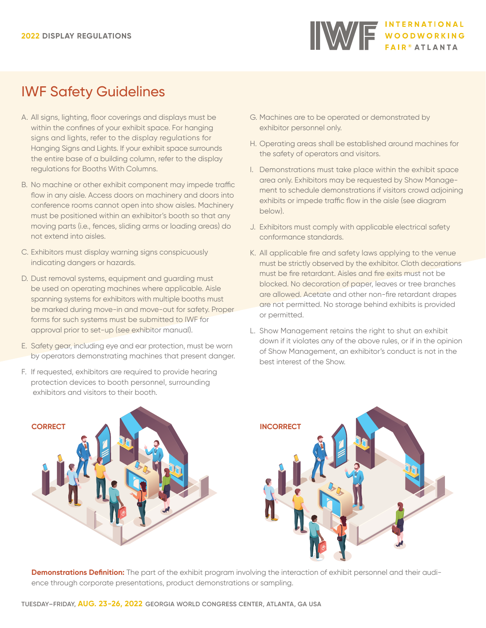

# IWF Safety Guidelines

- A. All signs, lighting, floor coverings and displays must be within the confines of your exhibit space. For hanging signs and lights, refer to the display regulations for Hanging Signs and Lights. If your exhibit space surrounds the entire base of a building column, refer to the display regulations for Booths With Columns.
- B. No machine or other exhibit component may impede traffic flow in any aisle. Access doors on machinery and doors into conference rooms cannot open into show aisles. Machinery must be positioned within an exhibitor's booth so that any moving parts (i.e., fences, sliding arms or loading areas) do not extend into aisles.
- C. Exhibitors must display warning signs conspicuously indicating dangers or hazards.
- D. Dust removal systems, equipment and guarding must be used on operating machines where applicable. Aisle spanning systems for exhibitors with multiple booths must be marked during move-in and move-out for safety. Proper forms for such systems must be submitted to IWF for approval prior to set-up (see exhibitor manual).
- E. Safety gear, including eye and ear protection, must be worn by operators demonstrating machines that present danger.
- F. If requested, exhibitors are required to provide hearing protection devices to booth personnel, surrounding exhibitors and visitors to their booth.
- G. Machines are to be operated or demonstrated by exhibitor personnel only.
- H. Operating areas shall be established around machines for the safety of operators and visitors.
- I. Demonstrations must take place within the exhibit space area only. Exhibitors may be requested by Show Management to schedule demonstrations if visitors crowd adjoining exhibits or impede traffic flow in the aisle (see diagram below).
- J. Exhibitors must comply with applicable electrical safety conformance standards.
- K. All applicable fire and safety laws applying to the venue must be strictly observed by the exhibitor. Cloth decorations must be fire retardant. Aisles and fire exits must not be blocked. No decoration of paper, leaves or tree branches are allowed. Acetate and other non-fire retardant drapes are not permitted. No storage behind exhibits is provided or permitted.
- L. Show Management retains the right to shut an exhibit down if it violates any of the above rules, or if in the opinion of Show Management, an exhibitor's conduct is not in the best interest of the Show.





**Demonstrations Definition:** The part of the exhibit program involving the interaction of exhibit personnel and their audience through corporate presentations, product demonstrations or sampling.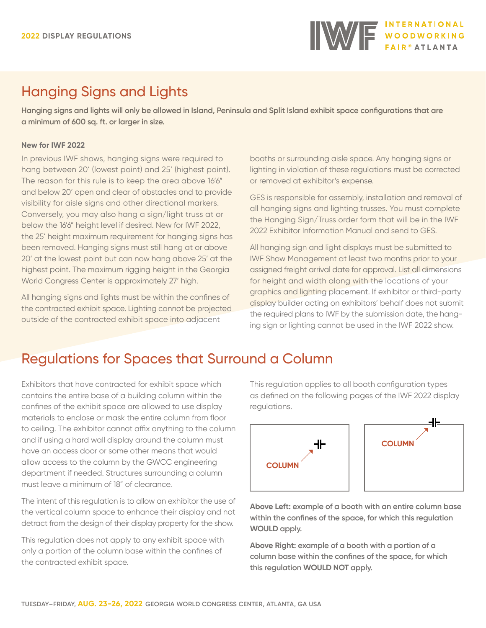# Hanging Signs and Lights

**Hanging signs and lights will only be allowed in Island, Peninsula and Split Island exhibit space configurations that are a minimum of 600 sq. ft. or larger in size.**

# **New for IWF 2022**

In previous IWF shows, hanging signs were required to hang between 20' (lowest point) and 25' (highest point). The reason for this rule is to keep the area above 16'6" and below 20' open and clear of obstacles and to provide visibility for aisle signs and other directional markers. Conversely, you may also hang a sign/light truss at or below the 16'6" height level if desired. New for IWF 2022, the 25' height maximum requirement for hanging signs has been removed. Hanging signs must still hang at or above 20' at the lowest point but can now hang above 25' at the highest point. The maximum rigging height in the Georgia World Congress Center is approximately 27' high.

All hanging signs and lights must be within the confines of the contracted exhibit space. Lighting cannot be projected outside of the contracted exhibit space into adjacent

booths or surrounding aisle space. Any hanging signs or lighting in violation of these regulations must be corrected or removed at exhibitor's expense.

GES is responsible for assembly, installation and removal of all hanging signs and lighting trusses. You must complete the Hanging Sign/Truss order form that will be in the IWF 2022 Exhibitor Information Manual and send to GES.

All hanging sign and light displays must be submitted to IWF Show Management at least two months prior to your assigned freight arrival date for approval. List all dimensions for height and width along with the locations of your graphics and lighting placement. If exhibitor or third-party display builder acting on exhibitors' behalf does not submit the required plans to IWF by the submission date, the hanging sign or lighting cannot be used in the IWF 2022 show.

# Regulations for Spaces that Surround a Column

Exhibitors that have contracted for exhibit space which contains the entire base of a building column within the confines of the exhibit space are allowed to use display materials to enclose or mask the entire column from floor to ceiling. The exhibitor cannot affix anything to the column and if using a hard wall display around the column must have an access door or some other means that would allow access to the column by the GWCC engineering department if needed. Structures surrounding a column must leave a minimum of 18" of clearance.

The intent of this regulation is to allow an exhibitor the use of the vertical column space to enhance their display and not detract from the design of their display property for the show.

This regulation does not apply to any exhibit space with only a portion of the column base within the confines of the contracted exhibit space.

This regulation applies to all booth configuration types as defined on the following pages of the IWF 2022 display regulations.



**Above Left: example of a booth with an entire column base within the confines of the space, for which this regulation WOULD apply.**

**Above Right: example of a booth with a portion of a column base within the confines of the space, for which this regulation WOULD NOT apply.**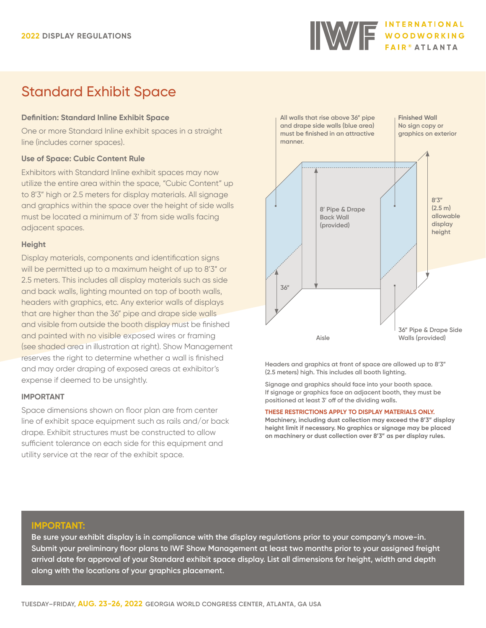

# Standard Exhibit Space

# **Definition: Standard Inline Exhibit Space**

One or more Standard Inline exhibit spaces in a straight line (includes corner spaces).

# **Use of Space: Cubic Content Rule**

Exhibitors with Standard Inline exhibit spaces may now utilize the entire area within the space, "Cubic Content" up to 8'3" high or 2.5 meters for display materials. All signage and graphics within the space over the height of side walls must be located a minimum of 3' from side walls facing adjacent spaces.

## **Height**

Display materials, components and identification signs will be permitted up to a maximum height of up to 8'3" or 2.5 meters. This includes all display materials such as side and back walls, lighting mounted on top of booth walls, headers with graphics, etc. Any exterior walls of displays that are higher than the 36" pipe and drape side walls and visible from outside the booth display must be finished and painted with no visible exposed wires or framing (see shaded area in illustration at right). Show Management reserves the right to determine whether a wall is finished and may order draping of exposed areas at exhibitor's expense if deemed to be unsightly.

# **IMPORTANT**

Space dimensions shown on floor plan are from center line of exhibit space equipment such as rails and/or back drape. Exhibit structures must be constructed to allow sufficient tolerance on each side for this equipment and utility service at the rear of the exhibit space.



**Headers and graphics at front of space are allowed up to 8'3" (2.5 meters) high. This includes all booth lighting.**

**Signage and graphics should face into your booth space. If signage or graphics face an adjacent booth, they must be positioned at least 3' off of the dividing walls.**

#### **THESE RESTRICTIONS APPLY TO DISPLAY MATERIALS ONLY.**

**Machinery, including dust collection may exceed the 8'3" display height limit if necessary. No graphics or signage may be placed on machinery or dust collection over 8'3" as per display rules.**

## **IMPORTANT:**

**Be sure your exhibit display is in compliance with the display regulations prior to your company's move-in. Submit your preliminary floor plans to IWF Show Management at least two months prior to your assigned freight arrival date for approval of your Standard exhibit space display. List all dimensions for height, width and depth along with the locations of your graphics placement.**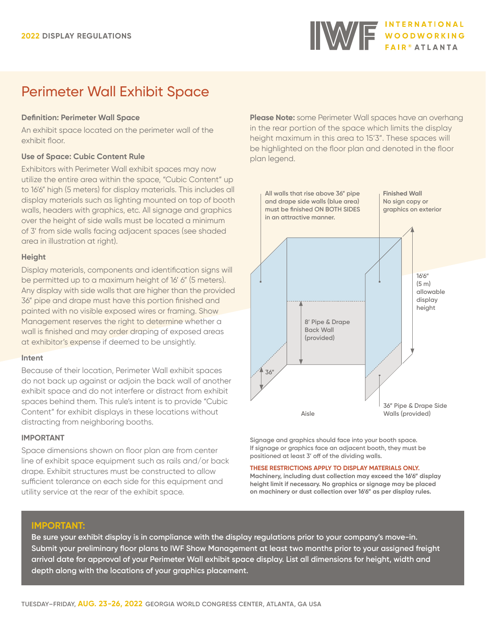# Perimeter Wall Exhibit Space

# **Definition: Perimeter Wall Space**

An exhibit space located on the perimeter wall of the exhibit floor.

# **Use of Space: Cubic Content Rule**

Exhibitors with Perimeter Wall exhibit spaces may now utilize the entire area within the space, "Cubic Content" up to 16'6" high (5 meters) for display materials. This includes all display materials such as lighting mounted on top of booth walls, headers with graphics, etc. All signage and graphics over the height of side walls must be located a minimum of 3' from side walls facing adjacent spaces (see shaded area in illustration at right).

## **Height**

Display materials, components and identification signs will be permitted up to a maximum height of 16' 6" (5 meters). Any display with side walls that are higher than the provided 36" pipe and drape must have this portion finished and painted with no visible exposed wires or framing. Show Management reserves the right to determine whether a wall is finished and may order draping of exposed areas at exhibitor's expense if deemed to be unsightly.

## **Intent**

Because of their location, Perimeter Wall exhibit spaces do not back up against or adjoin the back wall of another exhibit space and do not interfere or distract from exhibit spaces behind them. This rule's intent is to provide "Cubic Content" for exhibit displays in these locations without distracting from neighboring booths.

## **IMPORTANT**

Space dimensions shown on floor plan are from center line of exhibit space equipment such as rails and/or back drape. Exhibit structures must be constructed to allow sufficient tolerance on each side for this equipment and utility service at the rear of the exhibit space.

**Please Note:** some Perimeter Wall spaces have an overhang in the rear portion of the space which limits the display height maximum in this area to 15'3". These spaces will be highlighted on the floor plan and denoted in the floor plan legend.



**Signage and graphics should face into your booth space. If signage or graphics face an adjacent booth, they must be positioned at least 3' off of the dividing walls.**

#### **THESE RESTRICTIONS APPLY TO DISPLAY MATERIALS ONLY.**

**Machinery, including dust collection may exceed the 16'6" display height limit if necessary. No graphics or signage may be placed on machinery or dust collection over 16'6" as per display rules.**

# **IMPORTANT:**

**Be sure your exhibit display is in compliance with the display regulations prior to your company's move-in. Submit your preliminary floor plans to IWF Show Management at least two months prior to your assigned freight arrival date for approval of your Perimeter Wall exhibit space display. List all dimensions for height, width and depth along with the locations of your graphics placement.**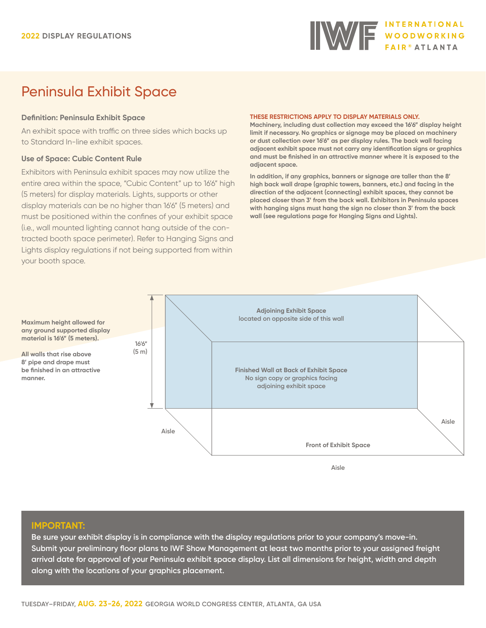

# Peninsula Exhibit Space

#### **Definition: Peninsula Exhibit Space**

An exhibit space with traffic on three sides which backs up to Standard In-line exhibit spaces.

#### **Use of Space: Cubic Content Rule**

Exhibitors with Peninsula exhibit spaces may now utilize the entire area within the space, "Cubic Content" up to 16'6" high (5 meters) for display materials. Lights, supports or other display materials can be no higher than 16'6" (5 meters) and must be positioned within the confines of your exhibit space (i.e., wall mounted lighting cannot hang outside of the contracted booth space perimeter). Refer to Hanging Signs and Lights display regulations if not being supported from within your booth space.

#### **THESE RESTRICTIONS APPLY TO DISPLAY MATERIALS ONLY.**

**Machinery, including dust collection may exceed the 16'6" display height limit if necessary. No graphics or signage may be placed on machinery or dust collection over 16'6" as per display rules. The back wall facing adjacent exhibit space must not carry any identification signs or graphics and must be finished in an attractive manner where it is exposed to the adjacent space.**

**In addition, if any graphics, banners or signage are taller than the 8' high back wall drape (graphic towers, banners, etc.) and facing in the direction of the adjacent (connecting) exhibit spaces, they cannot be placed closer than 3' from the back wall. Exhibitors in Peninsula spaces with hanging signs must hang the sign no closer than 3' from the back wall (see regulations page for Hanging Signs and Lights).**



#### **IMPORTANT:**

**manner.**

**Be sure your exhibit display is in compliance with the display regulations prior to your company's move-in. Submit your preliminary floor plans to IWF Show Management at least two months prior to your assigned freight arrival date for approval of your Peninsula exhibit space display. List all dimensions for height, width and depth along with the locations of your graphics placement.**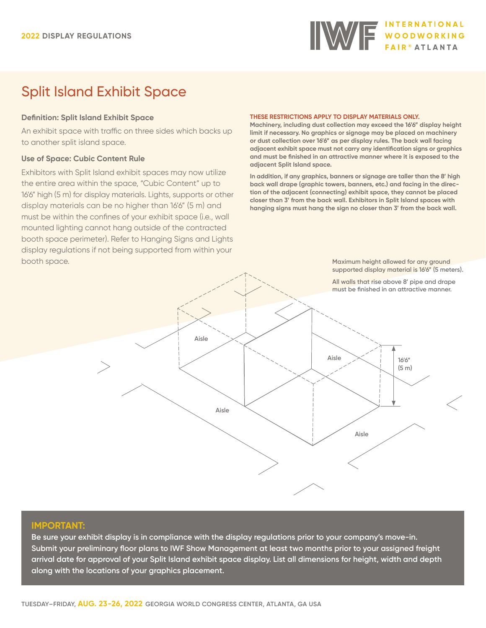# IWE MOODWORKING

# Split Island Exhibit Space

# **Definition: Split Island Exhibit Space**

An exhibit space with traffic on three sides which backs up to another split island space.

# **Use of Space: Cubic Content Rule**

Exhibitors with Split Island exhibit spaces may now utilize the entire area within the space, "Cubic Content" up to 16'6" high (5 m) for display materials. Lights, supports or other display materials can be no higher than 16'6" (5 m) and must be within the confines of your exhibit space (i.e., wall mounted lighting cannot hang outside of the contracted booth space perimeter). Refer to Hanging Signs and Lights display regulations if not being supported from within your booth space.

#### **THESE RESTRICTIONS APPLY TO DISPLAY MATERIALS ONLY.**

**Machinery, including dust collection may exceed the 16'6" display height limit if necessary. No graphics or signage may be placed on machinery or dust collection over 16'6" as per display rules. The back wall facing adjacent exhibit space must not carry any identification signs or graphics and must be finished in an attractive manner where it is exposed to the adjacent Split Island space.**

**In addition, if any graphics, banners or signage are taller than the 8' high back wall drape (graphic towers, banners, etc.) and facing in the direction of the adjacent (connecting) exhibit space, they cannot be placed closer than 3' from the back wall. Exhibitors in Split Island spaces with hanging signs must hang the sign no closer than 3' from the back wall.** 

> **Maximum height allowed for any ground supported display material is 16'6" (5 meters).**



## **IMPORTANT:**

**Be sure your exhibit display is in compliance with the display regulations prior to your company's move-in. Submit your preliminary floor plans to IWF Show Management at least two months prior to your assigned freight arrival date for approval of your Split Island exhibit space display. List all dimensions for height, width and depth along with the locations of your graphics placement.**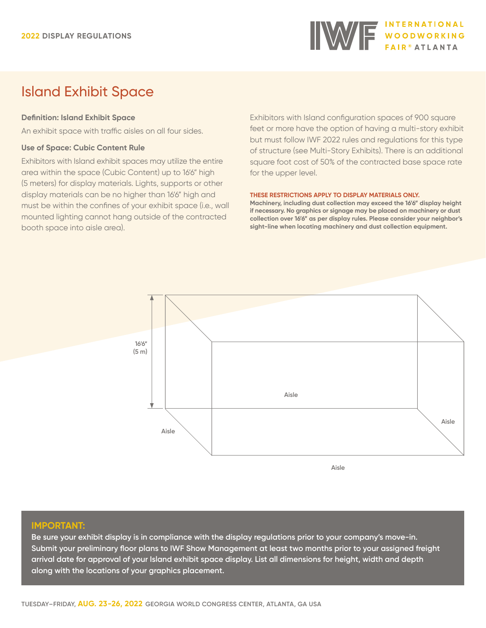

# Island Exhibit Space

# **Definition: Island Exhibit Space**

An exhibit space with traffic aisles on all four sides.

## **Use of Space: Cubic Content Rule**

Exhibitors with Island exhibit spaces may utilize the entire area within the space (Cubic Content) up to 16'6" high (5 meters) for display materials. Lights, supports or other display materials can be no higher than 16'6" high and must be within the confines of your exhibit space (i.e., wall mounted lighting cannot hang outside of the contracted booth space into aisle area).

Exhibitors with Island configuration spaces of 900 square feet or more have the option of having a multi-story exhibit but must follow IWF 2022 rules and regulations for this type of structure (see Multi-Story Exhibits). There is an additional square foot cost of 50% of the contracted base space rate for the upper level.

#### **THESE RESTRICTIONS APPLY TO DISPLAY MATERIALS ONLY.**

**Machinery, including dust collection may exceed the 16'6" display height if necessary. No graphics or signage may be placed on machinery or dust collection over 16'6" as per display rules. Please consider your neighbor's sight-line when locating machinery and dust collection equipment.**



## **IMPORTANT:**

**Be sure your exhibit display is in compliance with the display regulations prior to your company's move-in. Submit your preliminary floor plans to IWF Show Management at least two months prior to your assigned freight arrival date for approval of your Island exhibit space display. List all dimensions for height, width and depth along with the locations of your graphics placement.**